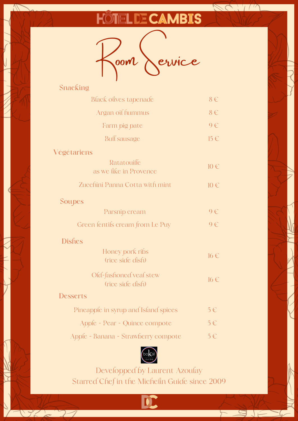## **HÖTELDE CAMBIS**

RA VIA



| Snacking                                   |          |
|--------------------------------------------|----------|
| <b>Black olives tapenade</b>               | $8 \in$  |
| Argan oil hummus                           | $8 \in$  |
| Farm pig pate                              | $9 \in$  |
| <b>Bull</b> sausage                        | $15 \in$ |
| Végétariens                                |          |
| Ratatouille<br>as we like in Provence      | $10 \in$ |
| Zucchini Panna Cotta with mint             | $10 \in$ |
| Soupes                                     |          |
| Parsnip cream                              | $9 \in$  |
| Green fentifs cream from Le Puy            | $9 \in$  |
| <b>Dishes</b>                              |          |
| Honey pork ribs<br>(rice side dish)        | $16 \in$ |
| Old-fashoned veal stew<br>(rice side dish) | $16 \in$ |
| <b>Desserts</b>                            |          |
| Pineapple in syrup and Island spices       | $5 \in$  |
| Apple - Pear - Quince compote              | $5 \in$  |
| Apple - Banana - Strawberry compote        | $5 \in$  |
|                                            |          |



Developped by Laurent Azoulay Starred Chef in the Michelin Guide since 2009

 $\frac{1}{2}$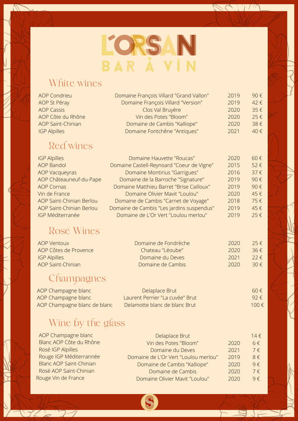

RC. TM

 $\Box$ 

 $\Box$ 

#### White wines

 $\sqrt{2}$ 

| <b>AOP Condrieu</b>      | Domaine François Villard "Grand Vallon"   | 2019 | 90€      |
|--------------------------|-------------------------------------------|------|----------|
| AOP St Péray             | Domaine François Villard "Version"        | 2019 | 42€      |
| <b>AOP Cassis</b>        | Clos Val Bruyère                          | 2020 | 35€      |
| AOP Côte du Rhône        | Vin des Potes "Bloom"                     | 2020 | 25€      |
| <b>AOP Saint-Chinian</b> | Domaine de Cambis "Kalliope"              | 2020 | 38€      |
| <b>IGP Alpilles</b>      | Domaine Fontchêne "Antiques"              | 2021 | 40€      |
| <b>Red wines</b>         |                                           |      |          |
| <b>IGP Alpilles</b>      | Domaine Hauvette "Roucas"                 | 2020 | 60€      |
| <b>AOP Bandol</b>        | Domaine Castell-Reynoard "Coeur de Vigne" | 2015 | 52€      |
| <b>AOP Vacqueyras</b>    | Domaine Montirius "Garrigues"             | 2016 | $37 \in$ |
| AOP Châteauneuf-du-Pape  | Domaine de la Barroche "Signature"        | 2019 | 90€      |
| <b>AOP Cornas</b>        | Domaine Matthieu Barret "Brise Cailloux"  | 2019 | 90€      |
| Vin de France            | Domaine Olivier Mavit "Loulou"            | 2020 | 45€      |
| AOP Saint-Chinian Berlou | Domaine de Cambis "Carnet de Voyage"      | 2018 | 75€      |
| AOP Saint-Chinian Berlou | Domaine de Cambis "Les jardins suspendus" | 2019 | 45€      |
| <b>IGP Méditerranée</b>  | Domaine de L'Or Vert "Loulou merlou"      | 2019 | 25€      |
| Rosé Wines               |                                           |      |          |
| AOP Ventoux              | Domaine de Fondrèche                      | 2020 | 25f      |

| <b>AOP Ventoux</b>    | Domaine de Fondrèche | 2020 | 25f           |
|-----------------------|----------------------|------|---------------|
| AOP Côtes de Provence | Chateau "Léoube"     | 2020 | $36 \notin$   |
| <b>IGP Alpilles</b>   | Domaine du Deves     | 2021 | $22 \in$      |
| AOP Saint-Chinian     | Domaine de Cambis    | 2020 | 30 $\epsilon$ |
|                       |                      |      |               |

#### **Champagnes**

| AOP Champagne blanc          | Delaplace Brut                  | $60 \notin$    |
|------------------------------|---------------------------------|----------------|
| AOP Champagne blanc          | Laurent Perrier "La cuvée" Brut | $92 \notin$    |
| AOP Champagne blanc de blanc | Delamotte blanc de blanc Brut   | 100 $\epsilon$ |

### Wine by the glass

 $172 - 27$ 

| AOP Champagne blanc            | Delaplace Brut                       |      | $14 \in$   |
|--------------------------------|--------------------------------------|------|------------|
| Blanc AOP Côte du Rhône        | Vin des Potes "Bloom"                | 2020 | $6 \in$    |
| Rosé IGP Alpilles              | Domaine du Deves                     | 2021 | $7 \in$    |
| Rouge IGP Méditerrannée        | Domaine de L'Or Vert "Loulou merlou" | 2019 | $8 \notin$ |
| <b>Blanc AOP Saint-Chinian</b> | Domaine de Cambis "Kalliope"         | 2020 | $9 \notin$ |
| Rosé AOP Saint-Chinian         | Domaine de Cambis                    | 2020 | $7 \in$    |
| Rouge Vin de France            | Domaine Olivier Mavit "Loulou"       | 2020 | $9 \notin$ |

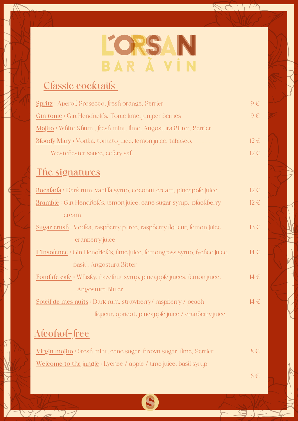# LORSAN

#### **Classic cocktails**

| Spritz: Aperol, Prosecco, fresh orange, Perrier                  | $\Theta \in \Gamma$ |
|------------------------------------------------------------------|---------------------|
| <b>Gin tonic</b> : Gin Hendrick's, Tonic lime, juniper berries   | $Q \in$             |
| Mojito : White Rhum, fresh mint, lime, Angostura Bitter, Perrier |                     |
| Bloody Mary : Vodka, tomato juice, lemon juice, tabasco,         | $12 \in$            |
| Westchester sauce, celery salt                                   | $12 \in$            |
|                                                                  |                     |

#### **The signatures**

 $\sqrt{22}$ 

| Bocalada : Dark rum, vanilla syrup, coconut cream, pineapple juice         | $12 \in$ |
|----------------------------------------------------------------------------|----------|
| <b>Bramble</b> : Gin Hendrick's, lemon juice, cane sugar syrup, blackberry | $12 \in$ |
| cream                                                                      |          |
| Sugar crush : Vodka, raspberry puree, raspberry liqueur, lemon juice       | $13 \in$ |
| cranberry juice                                                            |          |
| L'Insolence : Gin Hendrick's, lime juice, lemongrass syrup, lychee juice,  | $14 \in$ |
| basil, Angostura Bitter                                                    |          |
| Fond de cale : Whisky, hazelnut syrup, pineapple juices, lemon juice,      | $14 \in$ |
| Angostura Bitter                                                           |          |
| Sofeif de mes nuits : Dark rum, strawberry/ raspberry / peach              | $14 \in$ |
| liqueur, apricot, pineapple juice / cranberry juice                        |          |
| <u>Alcohol-free</u>                                                        |          |

**Virgin mojito** : Fresh mint, canesugar,brownsugar, lime, Perrier Welcome to the jungle<sup>:</sup> Lychee / apple / lime juice, basil syrup 8 €

S

8 €

 $\Box$ 

 $\leftarrow$ 

SC. Th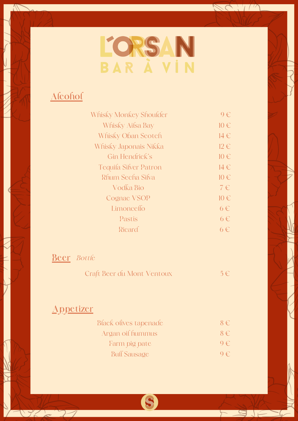

RC. 1/2

 $F = \sqrt{2}$ 

#### **Alcohol**

| Whisky Monkey Shoulder       | $\Theta \in$ |
|------------------------------|--------------|
| Whisky Ailsa Bay             | $10 \in$     |
| <b>Whisky Oban Scotch</b>    | 14€          |
| Whisky Japonais Nikka        | $12 \in$     |
| Gin Hendrick's               | $10 \in$     |
| <b>Tequila Silver Patron</b> | $14 \in$     |
| Rhum Secha Silva             | $10 \in$     |
| Vodka Bio                    | 7€           |
| <b>Cognac VSOP</b>           | $10 \in$     |
| Limoncello                   | $6 \in$      |
| Pastis                       | $6 \in$      |
| Ricard                       | ճ €`         |
|                              |              |

#### **Beer** *Bottle*

| Craft Beer du Mont Ventoux | $5 \in$ |  |
|----------------------------|---------|--|
|----------------------------|---------|--|

#### **Appetizer**

 $\sqrt{22}$ 

| <b>Black olives tapenade</b> | $8 \in$      |
|------------------------------|--------------|
| Argan oil hummus             | $8 \in$      |
| Farm pig pate                | $\theta \in$ |
| <b>Buff Sausage</b>          | $9 \in$      |

S